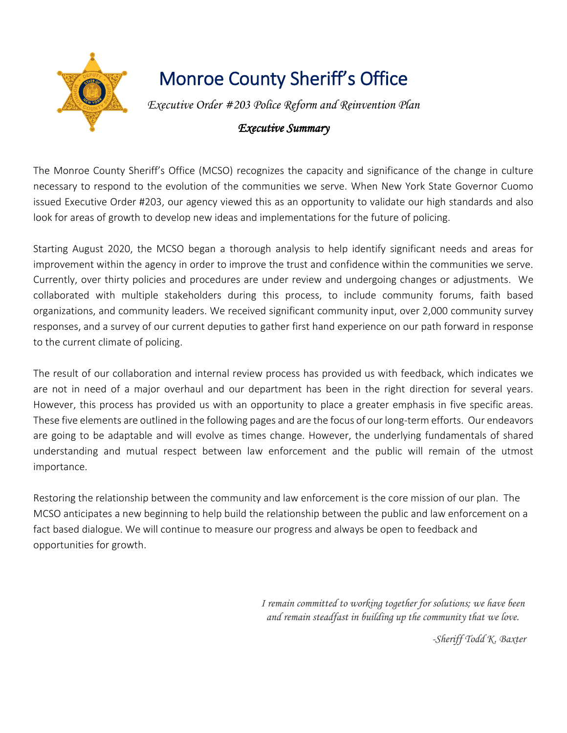

# Monroe County Sheriff's Office

*Executive Order #203 Police Reform and Reinvention Plan*

### *Executive Summary*

The Monroe County Sheriff's Office (MCSO) recognizes the capacity and significance of the change in culture necessary to respond to the evolution of the communities we serve. When New York State Governor Cuomo issued Executive Order #203, our agency viewed this as an opportunity to validate our high standards and also look for areas of growth to develop new ideas and implementations for the future of policing.

Starting August 2020, the MCSO began a thorough analysis to help identify significant needs and areas for improvement within the agency in order to improve the trust and confidence within the communities we serve. Currently, over thirty policies and procedures are under review and undergoing changes or adjustments. We collaborated with multiple stakeholders during this process, to include community forums, faith based organizations, and community leaders. We received significant community input, over 2,000 community survey responses, and a survey of our current deputies to gather first hand experience on our path forward in response to the current climate of policing.

The result of our collaboration and internal review process has provided us with feedback, which indicates we are not in need of a major overhaul and our department has been in the right direction for several years. However, this process has provided us with an opportunity to place a greater emphasis in five specific areas. These five elements are outlined in the following pages and are the focus of our long-term efforts. Our endeavors are going to be adaptable and will evolve as times change. However, the underlying fundamentals of shared understanding and mutual respect between law enforcement and the public will remain of the utmost importance.

Restoring the relationship between the community and law enforcement is the core mission of our plan. The MCSO anticipates a new beginning to help build the relationship between the public and law enforcement on a fact based dialogue. We will continue to measure our progress and always be open to feedback and opportunities for growth.

> *I remain committed to working together for solutions; we have been and remain steadfast in building up the community that we love.*

> > *-Sheriff Todd K. Baxter*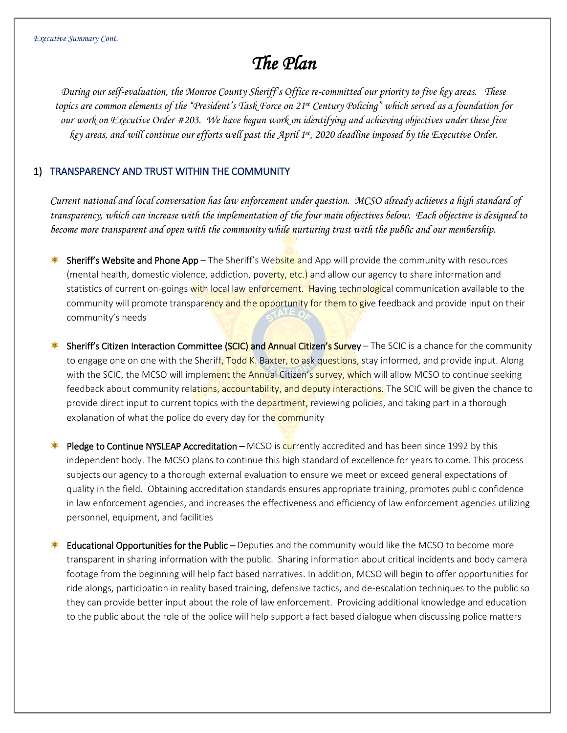## *The Plan*

*During our self-evaluation, the Monroe County Sheriff's Office re-committed our priority to five key areas. These topics are common elements of the "President's Task Force on 21st Century Policing" which served as a foundation for our work on Executive Order #203. We have begun work on identifying and achieving objectives under these five key areas, and will continue our efforts well past the April 1st, 2020 deadline imposed by the Executive Order.*

#### 1) TRANSPARENCY AND TRUST WITHIN THE COMMUNITY

*Current national and local conversation has law enforcement under question. MCSO already achieves a high standard of transparency, which can increase with the implementation of the four main objectives below. Each objective is designed to become more transparent and open with the community while nurturing trust with the public and our membership.*

- Sheriff's Website and Phone App The Sheriff's Website and App will provide the community with resources (mental health, domestic violence, addiction, poverty, etc.) and allow our agency to share information and statistics of current on-goings with local law enforcement. Having technological communication available to the community will promote transparency and the opportunity for them to give feedback and provide input on their community's needs
- **Sheriff's Citizen Interaction Committee (SCIC) and Annual Citizen's Survey** The SCIC is a chance for the community to engage one on one with the Sheriff, Todd K. Baxter, to ask questions, stay informed, and provide input. Along with the SCIC, the MCSO will implement the Annual Citizen's survey, which will allow MCSO to continue seeking feedback about community relations, accountability, and deputy interactions. The SCIC will be given the chance to provide direct input to current topics with the department, reviewing policies, and taking part in a thorough explanation of what the police do every day for the community
- Pledge to Continue NYSLEAP Accreditation MCSO is currently accredited and has been since 1992 by this independent body. The MCSO plans to continue this high standard of excellence for years to come. This process subjects our agency to a thorough external evaluation to ensure we meet or exceed general expectations of quality in the field. Obtaining accreditation standards ensures appropriate training, promotes public confidence in law enforcement agencies, and increases the effectiveness and efficiency of law enforcement agencies utilizing personnel, equipment, and facilities
- Educational Opportunities for the Public Deputies and the community would like the MCSO to become more transparent in sharing information with the public. Sharing information about critical incidents and body camera footage from the beginning will help fact based narratives. In addition, MCSO will begin to offer opportunities for ride alongs, participation in reality based training, defensive tactics, and de-escalation techniques to the public so they can provide better input about the role of law enforcement. Providing additional knowledge and education to the public about the role of the police will help support a fact based dialogue when discussing police matters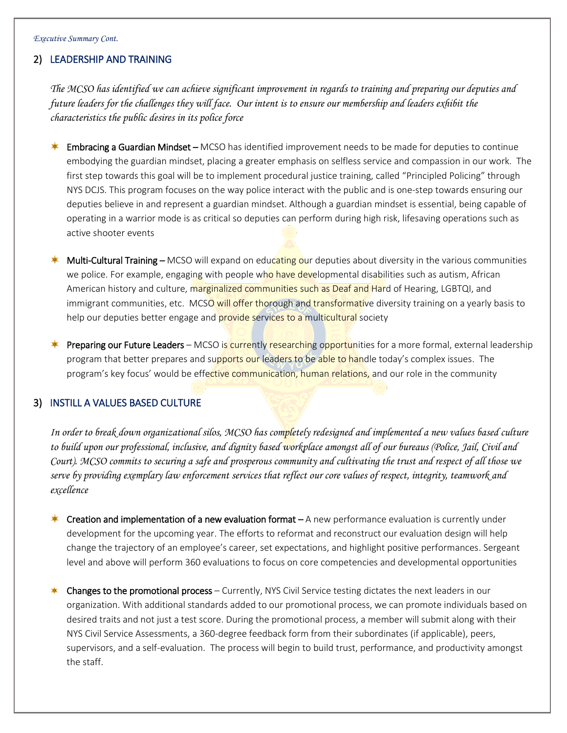#### 2) LEADERSHIP AND TRAINING

*The MCSO has identified we can achieve significant improvement in regards to training and preparing our deputies and future leaders for the challenges they will face. Our intent is to ensure our membership and leaders exhibit the characteristics the public desires in its police force*

- Embracing a Guardian Mindset MCSO has identified improvement needs to be made for deputies to continue embodying the guardian mindset, placing a greater emphasis on selfless service and compassion in our work. The first step towards this goal will be to implement procedural justice training, called "Principled Policing" through NYS DCJS. This program focuses on the way police interact with the public and is one-step towards ensuring our deputies believe in and represent a guardian mindset. Although a guardian mindset is essential, being capable of operating in a warrior mode is as critical so deputies can perform during high risk, lifesaving operations such as active shooter events
- Multi-Cultural Training MCSO will expand on educating our deputies about diversity in the various communities we police. For example, engaging with people who have developmental disabilities such as autism, African American history and culture, marginalized communities such as Deaf and Hard of Hearing, LGBTQI, and immigrant communities, etc. MCSO will offer thorough and transformative diversity training on a yearly basis to help our deputies better engage and **provide services to a multicultural** society
- Preparing our Future Leaders MCSO is currently researching opportunities for a more formal, external leadership program that better prepares and supports our leaders to be able to handle today's complex issues. The program's key focus' would be effective communication, human relations, and our role in the community

#### 3) INSTILL A VALUES BASED CULTURE

*In order to break down organizational silos, MCSO has completely redesigned and implemented a new values based culture to build upon our professional, inclusive, and dignity based workplace amongst all of our bureaus (Police, Jail, Civil and Court). MCSO commits to securing a safe and prosperous community and cultivating the trust and respect of all those we serve by providing exemplary law enforcement services that reflect our core values of respect, integrity, teamwork and excellence*

- **Creation and implementation of a new evaluation format**  $-A$  new performance evaluation is currently under development for the upcoming year. The efforts to reformat and reconstruct our evaluation design will help change the trajectory of an employee's career, set expectations, and highlight positive performances. Sergeant level and above will perform 360 evaluations to focus on core competencies and developmental opportunities
- **Changes to the promotional process** Currently, NYS Civil Service testing dictates the next leaders in our organization. With additional standards added to our promotional process, we can promote individuals based on desired traits and not just a test score. During the promotional process, a member will submit along with their NYS Civil Service Assessments, a 360-degree feedback form from their subordinates (if applicable), peers, supervisors, and a self-evaluation. The process will begin to build trust, performance, and productivity amongst the staff.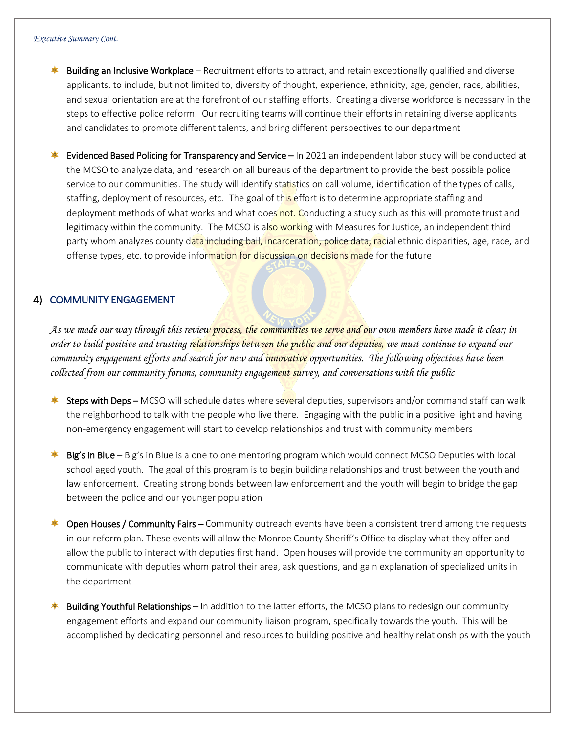- Building an Inclusive Workplace Recruitment efforts to attract, and retain exceptionally qualified and diverse applicants, to include, but not limited to, diversity of thought, experience, ethnicity, age, gender, race, abilities, and sexual orientation are at the forefront of our staffing efforts. Creating a diverse workforce is necessary in the steps to effective police reform. Our recruiting teams will continue their efforts in retaining diverse applicants and candidates to promote different talents, and bring different perspectives to our department
- Evidenced Based Policing for Transparency and Service In 2021 an independent labor study will be conducted at the MCSO to analyze data, and research on all bureaus of the department to provide the best possible police service to our communities. The study will identify statistics on call volume, identification of the types of calls, staffing, deployment of resources, etc. The goal of this effort is to determine appropriate staffing and deployment methods of what works and what does not. Conducting a study such as this will promote trust and legitimacy within the community. The MCSO is also working with Measures for Justice, an independent third party whom analyzes county data including bail, incarceration, police data, racial ethnic disparities, age, race, and offense types, etc. to provide information for discussion on decisions made for the future

#### 4) COMMUNITY ENGAGEMENT

*As we made our way through this review process, the communities we serve and our own members have made it clear; in order to build positive and trusting relationships between the public and our deputies, we must continue to expand our community engagement efforts and search for new and innovative opportunities. The following objectives have been collected from our community forums, community engagement survey, and conversations with the public*

- Steps with Deps MCSO will schedule dates where several deputies, supervisors and/or command staff can walk the neighborhood to talk with the people who live there. Engaging with the public in a positive light and having non-emergency engagement will start to develop relationships and trust with community members
- Big's in Blue Big's in Blue is a one to one mentoring program which would connect MCSO Deputies with local school aged youth. The goal of this program is to begin building relationships and trust between the youth and law enforcement. Creating strong bonds between law enforcement and the youth will begin to bridge the gap between the police and our younger population
- **<sup>\*</sup>** Open Houses / Community Fairs Community outreach events have been a consistent trend among the requests in our reform plan. These events will allow the Monroe County Sheriff's Office to display what they offer and allow the public to interact with deputies first hand. Open houses will provide the community an opportunity to communicate with deputies whom patrol their area, ask questions, and gain explanation of specialized units in the department
- Building Youthful Relationships In addition to the latter efforts, the MCSO plans to redesign our community engagement efforts and expand our community liaison program, specifically towards the youth. This will be accomplished by dedicating personnel and resources to building positive and healthy relationships with the youth